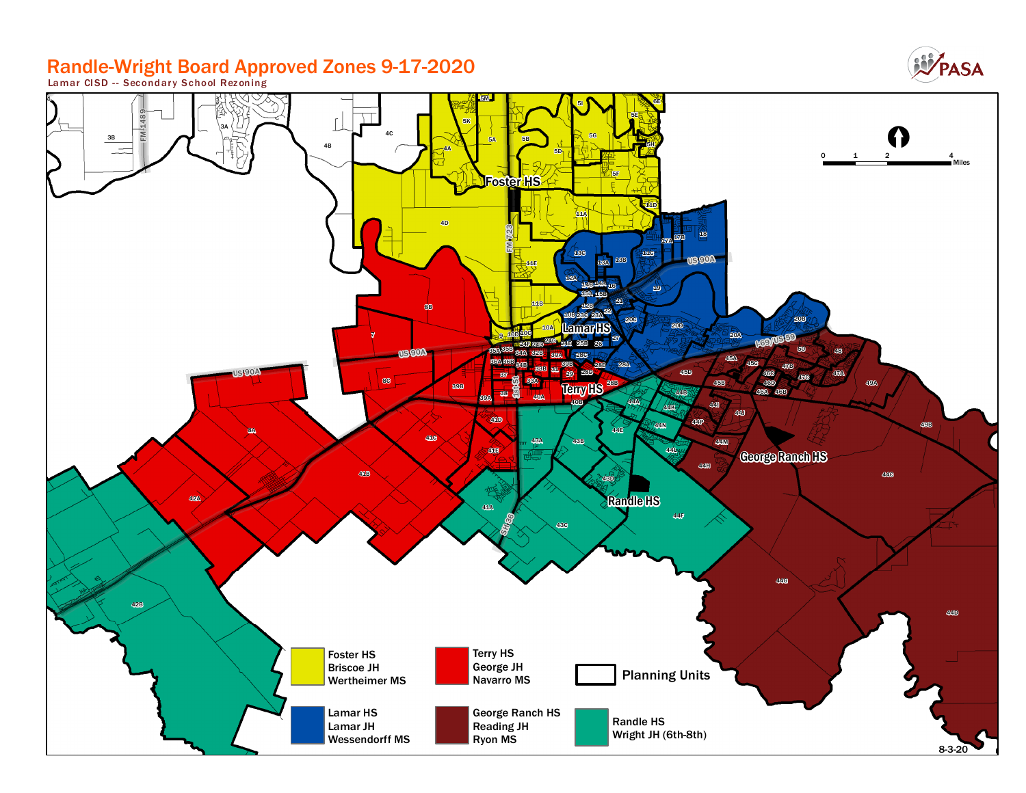# Randle-Wright Board Approved Zones 9-17-2020 **Lamar CISD - - Secondar y School Rezoning**



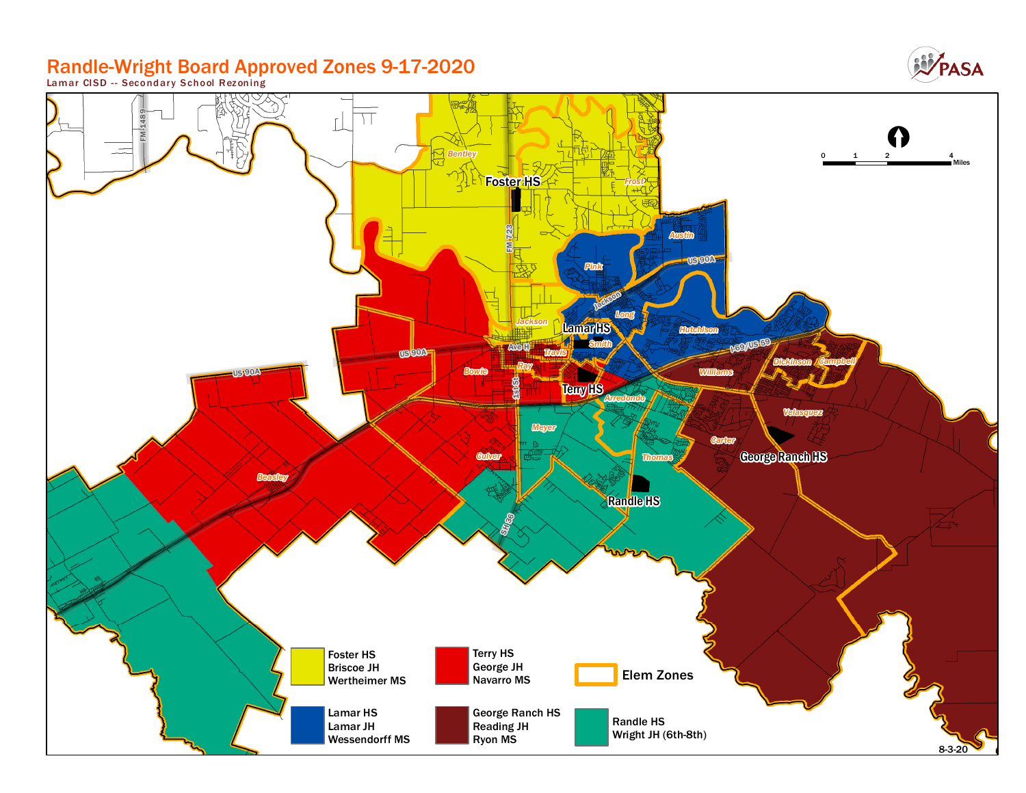# Randle-Wright Board Approved Zones 9-17-2020 **Lamar CISD - - Secondar y School Rezoning**



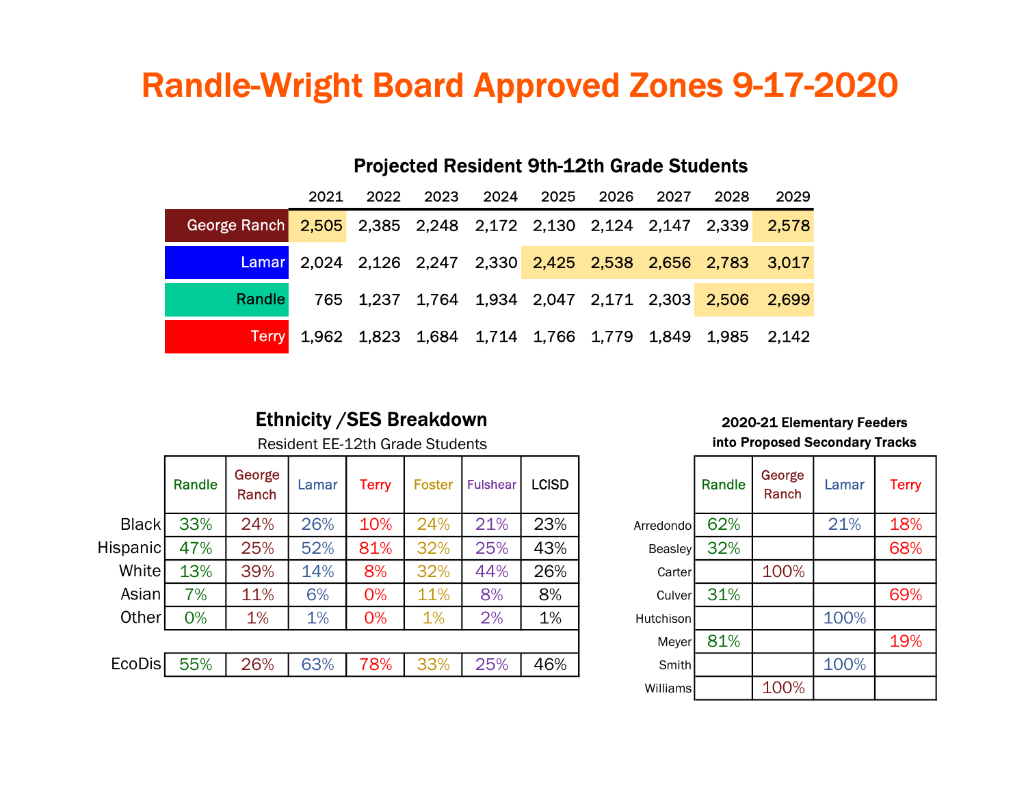# Randle-Wright Board Approved Zones 9-17-2020

Projected Resident 9th-12th Grade Students

|  |                                                                    | 2021 |  |  | 2022 2023 2024 2025 2026 2027 |  |  |  | 2028                                                        | 2029 |
|--|--------------------------------------------------------------------|------|--|--|-------------------------------|--|--|--|-------------------------------------------------------------|------|
|  | George Ranch 2,505 2,385 2,248 2,172 2,130 2,124 2,147 2,339 2,578 |      |  |  |                               |  |  |  |                                                             |      |
|  |                                                                    |      |  |  |                               |  |  |  | Lamar 2,024 2,126 2,247 2,330 2,425 2,538 2,656 2,783 3,017 |      |
|  | Randle                                                             |      |  |  |                               |  |  |  | 765 1,237 1,764 1,934 2,047 2,171 2,303 2,506 2,699         |      |
|  | <b>Terry</b>                                                       |      |  |  |                               |  |  |  | 1,962 1,823 1,684 1,714 1,766 1,779 1,849 1,985 2,142       |      |

## Ethnicity / SES Breakdown 2020-21 Elementary Feeders

|          | Randle | George<br>Ranch | Lamar | Terry | Foster | <b>Fulshear</b> | <b>LCISD</b> |                | Randle | George<br>Ranch | Lamar | <b>Terry</b> |
|----------|--------|-----------------|-------|-------|--------|-----------------|--------------|----------------|--------|-----------------|-------|--------------|
| Black    | 33%    | 24%             | 26%   | 10%   | 24%    | 21%             | 23%          | Arredondo      | 62%    |                 | 21%   | 18%          |
| Hispanic | 47%    | 25%             | 52%   | 81%   | 32%    | 25%             | 43%          | <b>Beasley</b> | 32%    |                 |       | 68%          |
| White    | 13%    | 39%             | 14%   | 8%    | 32%    | 44%             | 26%          | Carter         |        | 100%            |       |              |
| Asian    | 7%     | 11%             | 6%    | 0%    | 11%    | 8%              | 8%           | Culver         | 31%    |                 |       | 69%          |
| Other    | 0%     | 1%              | 1%    | 0%    | 1%     | 2%              | 1%           | Hutchison      |        |                 | 100%  |              |
|          |        |                 |       |       |        |                 |              | Meyer          | 81%    |                 |       | 19%          |
| EcoDis   | 55%    | 26%             | 63%   | 78%   | 33%    | 25%             | 46%          | <b>Smith</b>   |        |                 | 100%  |              |
|          |        |                 |       |       |        |                 |              |                |        |                 |       |              |

## Resident EE-12th Grade Students **into Proposed Secondary Tracks**

|                | Randle | George<br>Ranch | Lamar | <b>Terry</b> |
|----------------|--------|-----------------|-------|--------------|
| Arredondo      | 62%    |                 | 21%   | 18%          |
| <b>Beasley</b> | 32%    |                 |       | 68%          |
| Carter         |        | 100%            |       |              |
| Culver         | 31%    |                 |       | 69%          |
| Hutchison      |        |                 | 100%  |              |
| Meyer          | 81%    |                 |       | 19%          |
| Smith          |        |                 | 100%  |              |
| Williams       |        | 100%            |       |              |